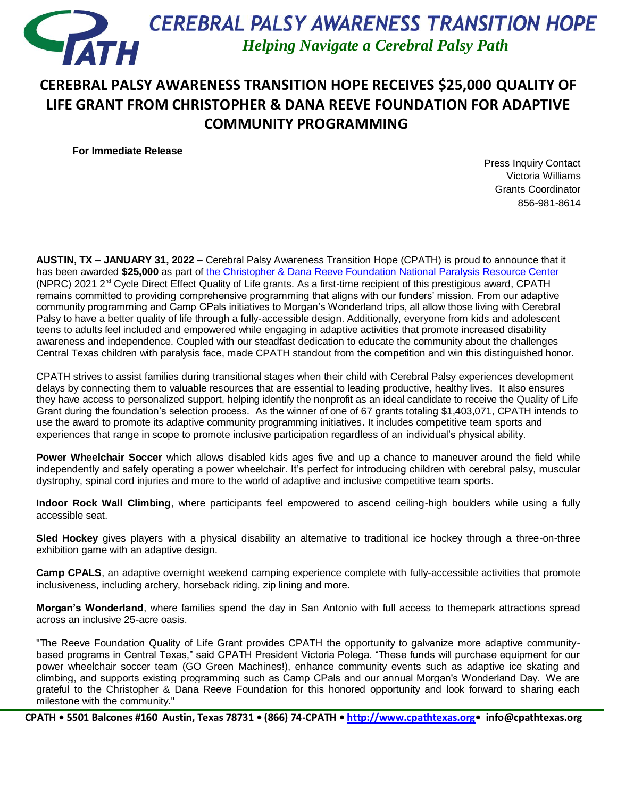

## **CEREBRAL PALSY AWARENESS TRANSITION HOPE RECEIVES \$25,000 QUALITY OF LIFE GRANT FROM CHRISTOPHER & DANA REEVE FOUNDATION FOR ADAPTIVE COMMUNITY PROGRAMMING**

**For Immediate Release**

Press Inquiry Contact Victoria Williams Grants Coordinator 856-981-8614

**AUSTIN, TX – JANUARY 31, 2022 –** Cerebral Palsy Awareness Transition Hope (CPATH) is proud to announce that it has been awarded **\$25,000** as part of [the Christopher & Dana Reeve Foundation National](https://www.christopherreeve.org/) Paralysis Resource Center (NPRC) 2021  $2^{\text{nd}}$  Cycle Direct Effect Quality of Life grants. As a first-time recipient of this prestigious award, CPATH remains committed to providing comprehensive programming that aligns with our funders' mission. From our adaptive community programming and Camp CPals initiatives to Morgan's Wonderland trips, all allow those living with Cerebral Palsy to have a better quality of life through a fully-accessible design. Additionally, everyone from kids and adolescent teens to adults feel included and empowered while engaging in adaptive activities that promote increased disability awareness and independence. Coupled with our steadfast dedication to educate the community about the challenges Central Texas children with paralysis face, made CPATH standout from the competition and win this distinguished honor.

CPATH strives to assist families during transitional stages when their child with Cerebral Palsy experiences development delays by connecting them to valuable resources that are essential to leading productive, healthy lives. It also ensures they have access to personalized support, helping identify the nonprofit as an ideal candidate to receive the Quality of Life Grant during the foundation's selection process. As the winner of one of 67 grants totaling \$1,403,071, CPATH intends to use the award to promote its adaptive community programming initiatives**.** It includes competitive team sports and experiences that range in scope to promote inclusive participation regardless of an individual's physical ability.

**Power Wheelchair Soccer** which allows disabled kids ages five and up a chance to maneuver around the field while independently and safely operating a power wheelchair. It's perfect for introducing children with cerebral palsy, muscular dystrophy, spinal cord injuries and more to the world of adaptive and inclusive competitive team sports.

**Indoor Rock Wall Climbing**, where participants feel empowered to ascend ceiling-high boulders while using a fully accessible seat.

**Sled Hockey** gives players with a physical disability an alternative to traditional ice hockey through a three-on-three exhibition game with an adaptive design.

**Camp CPALS**, an adaptive overnight weekend camping experience complete with fully-accessible activities that promote inclusiveness, including archery, horseback riding, zip lining and more.

**Morgan's Wonderland**, where families spend the day in San Antonio with full access to themepark attractions spread across an inclusive 25-acre oasis.

"The Reeve Foundation Quality of Life Grant provides CPATH the opportunity to galvanize more adaptive communitybased programs in Central Texas," said CPATH President Victoria Polega. "These funds will purchase equipment for our power wheelchair soccer team (GO Green Machines!), enhance community events such as adaptive ice skating and climbing, and supports existing programming such as Camp CPals and our annual Morgan's Wonderland Day.  We are grateful to the Christopher & Dana Reeve Foundation for this honored opportunity and look forward to sharing each milestone with the community."

**CPATH • 5501 Balcones #160 Austin, Texas 78731 • (866) 74-CPATH • [http://www.cpathtexas.org](http://www.cpathtexas.org/)• info@cpathtexas.org**